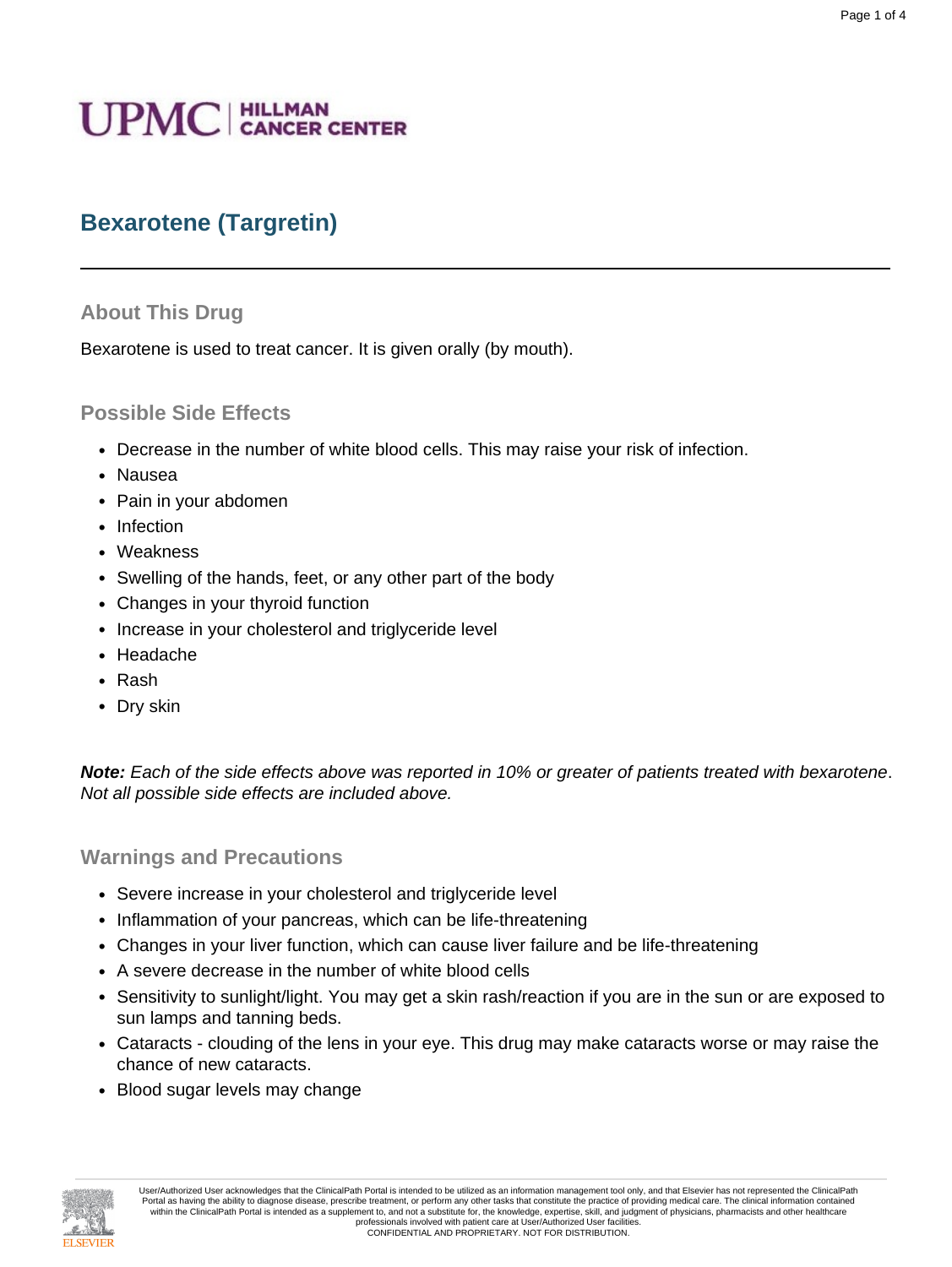# **UPMC** | HILLMAN

# **Bexarotene (Targretin)**

#### **About This Drug**

Bexarotene is used to treat cancer. It is given orally (by mouth).

#### **Possible Side Effects**

- Decrease in the number of white blood cells. This may raise your risk of infection.
- Nausea
- Pain in your abdomen
- Infection
- Weakness
- Swelling of the hands, feet, or any other part of the body
- Changes in your thyroid function
- Increase in your cholesterol and triglyceride level
- Headache
- Rash
- Dry skin

**Note:** Each of the side effects above was reported in 10% or greater of patients treated with bexarotene. Not all possible side effects are included above.

#### **Warnings and Precautions**

- Severe increase in your cholesterol and triglyceride level
- Inflammation of your pancreas, which can be life-threatening
- Changes in your liver function, which can cause liver failure and be life-threatening
- A severe decrease in the number of white blood cells
- Sensitivity to sunlight/light. You may get a skin rash/reaction if you are in the sun or are exposed to sun lamps and tanning beds.
- Cataracts clouding of the lens in your eye. This drug may make cataracts worse or may raise the chance of new cataracts.
- Blood sugar levels may change

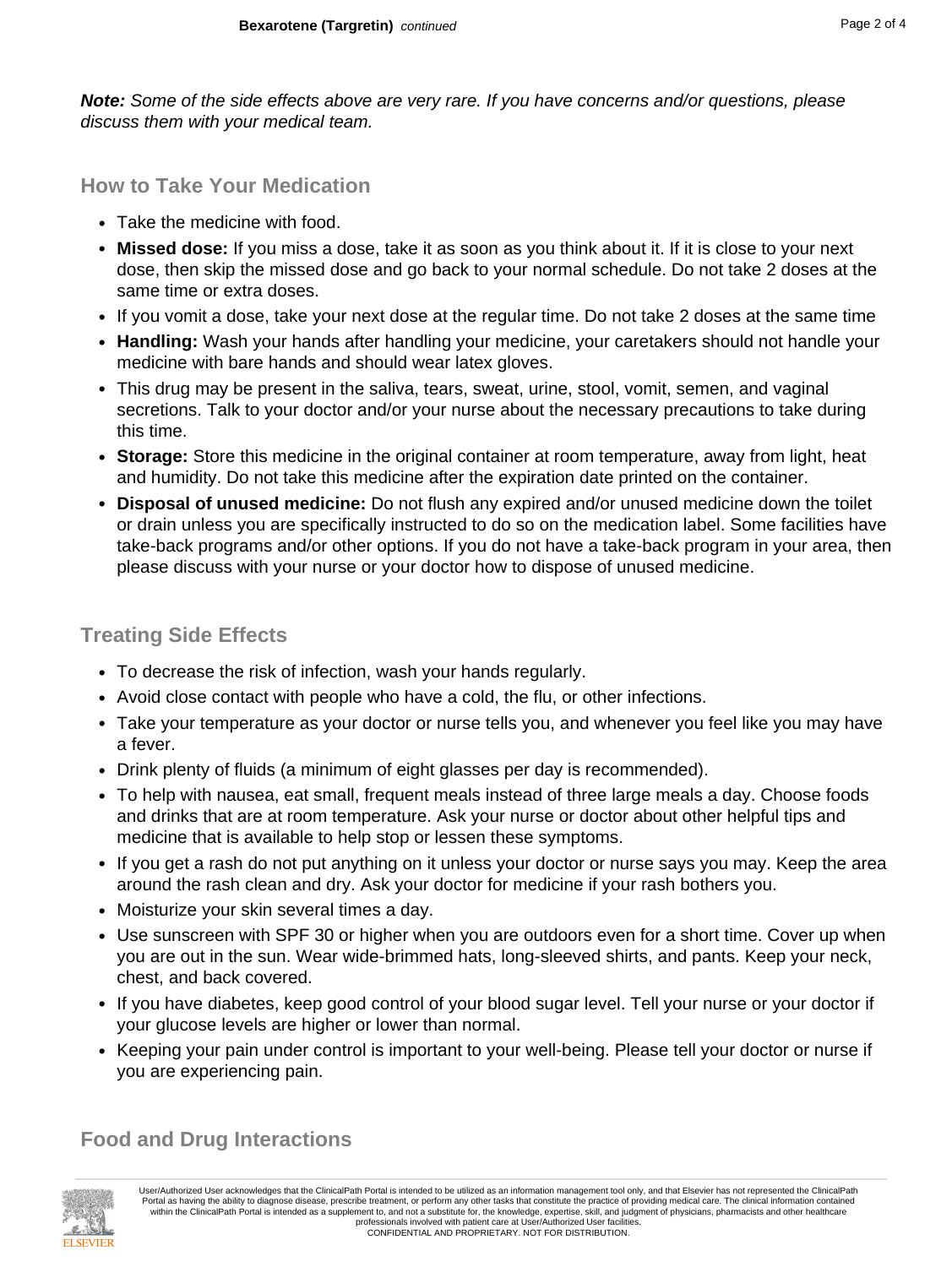**Note:** Some of the side effects above are very rare. If you have concerns and/or questions, please discuss them with your medical team.

**How to Take Your Medication**

- Take the medicine with food.
- **Missed dose:** If you miss a dose, take it as soon as you think about it. If it is close to your next dose, then skip the missed dose and go back to your normal schedule. Do not take 2 doses at the same time or extra doses.
- If you vomit a dose, take your next dose at the regular time. Do not take 2 doses at the same time
- **Handling:** Wash your hands after handling your medicine, your caretakers should not handle your medicine with bare hands and should wear latex gloves.
- This drug may be present in the saliva, tears, sweat, urine, stool, vomit, semen, and vaginal secretions. Talk to your doctor and/or your nurse about the necessary precautions to take during this time.
- **Storage:** Store this medicine in the original container at room temperature, away from light, heat and humidity. Do not take this medicine after the expiration date printed on the container.
- **Disposal of unused medicine:** Do not flush any expired and/or unused medicine down the toilet or drain unless you are specifically instructed to do so on the medication label. Some facilities have take-back programs and/or other options. If you do not have a take-back program in your area, then please discuss with your nurse or your doctor how to dispose of unused medicine.

# **Treating Side Effects**

- To decrease the risk of infection, wash your hands regularly.
- Avoid close contact with people who have a cold, the flu, or other infections.
- Take your temperature as your doctor or nurse tells you, and whenever you feel like you may have a fever.
- Drink plenty of fluids (a minimum of eight glasses per day is recommended).
- To help with nausea, eat small, frequent meals instead of three large meals a day. Choose foods and drinks that are at room temperature. Ask your nurse or doctor about other helpful tips and medicine that is available to help stop or lessen these symptoms.
- If you get a rash do not put anything on it unless your doctor or nurse says you may. Keep the area around the rash clean and dry. Ask your doctor for medicine if your rash bothers you.
- Moisturize your skin several times a day.
- Use sunscreen with SPF 30 or higher when you are outdoors even for a short time. Cover up when you are out in the sun. Wear wide-brimmed hats, long-sleeved shirts, and pants. Keep your neck, chest, and back covered.
- If you have diabetes, keep good control of your blood sugar level. Tell your nurse or your doctor if your glucose levels are higher or lower than normal.
- Keeping your pain under control is important to your well-being. Please tell your doctor or nurse if you are experiencing pain.

# **Food and Drug Interactions**

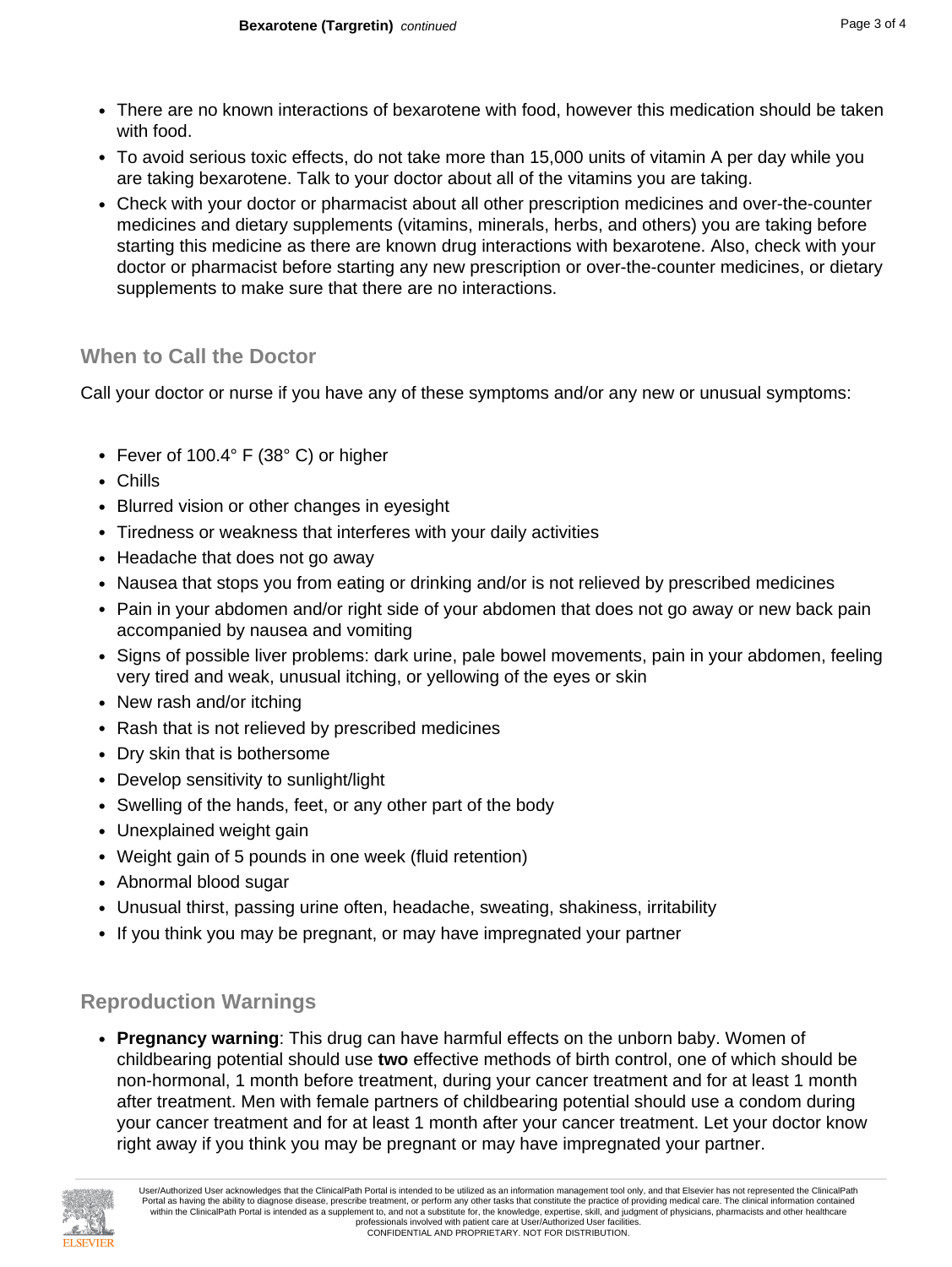- There are no known interactions of bexarotene with food, however this medication should be taken with food.
- To avoid serious toxic effects, do not take more than 15,000 units of vitamin A per day while you are taking bexarotene. Talk to your doctor about all of the vitamins you are taking.
- Check with your doctor or pharmacist about all other prescription medicines and over-the-counter medicines and dietary supplements (vitamins, minerals, herbs, and others) you are taking before starting this medicine as there are known drug interactions with bexarotene. Also, check with your doctor or pharmacist before starting any new prescription or over-the-counter medicines, or dietary supplements to make sure that there are no interactions.

# **When to Call the Doctor**

Call your doctor or nurse if you have any of these symptoms and/or any new or unusual symptoms:

- Fever of 100.4° F (38° C) or higher
- Chills
- Blurred vision or other changes in eyesight
- Tiredness or weakness that interferes with your daily activities
- Headache that does not go away
- Nausea that stops you from eating or drinking and/or is not relieved by prescribed medicines
- Pain in your abdomen and/or right side of your abdomen that does not go away or new back pain accompanied by nausea and vomiting
- Signs of possible liver problems: dark urine, pale bowel movements, pain in your abdomen, feeling very tired and weak, unusual itching, or yellowing of the eyes or skin
- New rash and/or itching
- Rash that is not relieved by prescribed medicines
- Dry skin that is bothersome
- Develop sensitivity to sunlight/light
- Swelling of the hands, feet, or any other part of the body
- Unexplained weight gain
- Weight gain of 5 pounds in one week (fluid retention)
- Abnormal blood sugar
- Unusual thirst, passing urine often, headache, sweating, shakiness, irritability
- If you think you may be pregnant, or may have impregnated your partner

# **Reproduction Warnings**

• **Pregnancy warning**: This drug can have harmful effects on the unborn baby. Women of childbearing potential should use **two** effective methods of birth control, one of which should be non-hormonal, 1 month before treatment, during your cancer treatment and for at least 1 month after treatment. Men with female partners of childbearing potential should use a condom during your cancer treatment and for at least 1 month after your cancer treatment. Let your doctor know right away if you think you may be pregnant or may have impregnated your partner.